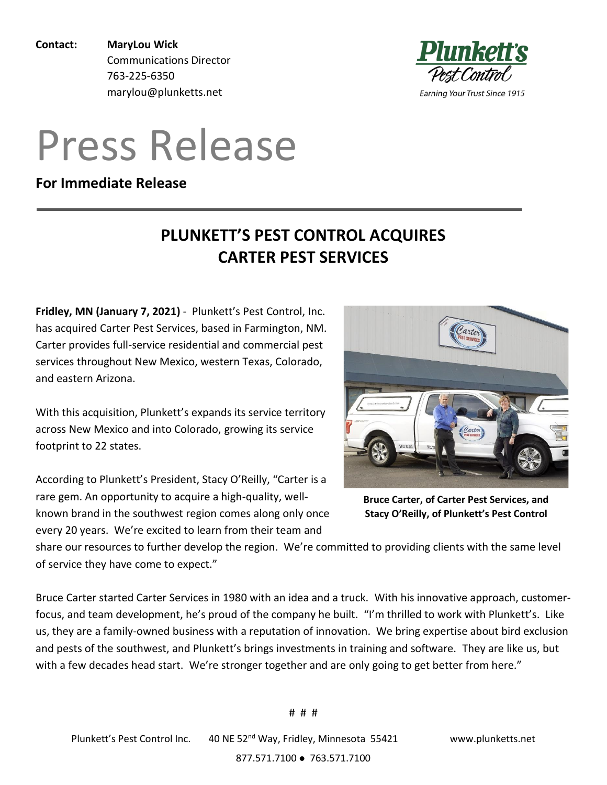**Contact: MaryLou Wick** Communications Director 763-225-6350 marylou@plunketts.net

## Press Release

## **For Immediate Release**

## **PLUNKETT'S PEST CONTROL ACQUIRES CARTER PEST SERVICES**

**Fridley, MN (January 7, 2021)** - Plunkett's Pest Control, Inc. has acquired Carter Pest Services, based in Farmington, NM. Carter provides full-service residential and commercial pest services throughout New Mexico, western Texas, Colorado, and eastern Arizona.

With this acquisition, Plunkett's expands its service territory across New Mexico and into Colorado, growing its service footprint to 22 states.

According to Plunkett's President, Stacy O'Reilly, "Carter is a rare gem. An opportunity to acquire a high-quality, wellknown brand in the southwest region comes along only once every 20 years. We're excited to learn from their team and



Pest Control.

**Earning Your Trust Since 1915** 

**Bruce Carter, of Carter Pest Services, and Stacy O'Reilly, of Plunkett's Pest Control**

share our resources to further develop the region. We're committed to providing clients with the same level of service they have come to expect."

Bruce Carter started Carter Services in 1980 with an idea and a truck. With his innovative approach, customerfocus, and team development, he's proud of the company he built. "I'm thrilled to work with Plunkett's. Like us, they are a family-owned business with a reputation of innovation. We bring expertise about bird exclusion and pests of the southwest, and Plunkett's brings investments in training and software. They are like us, but with a few decades head start. We're stronger together and are only going to get better from here."

877.571.7100 ⚫ 763.571.7100